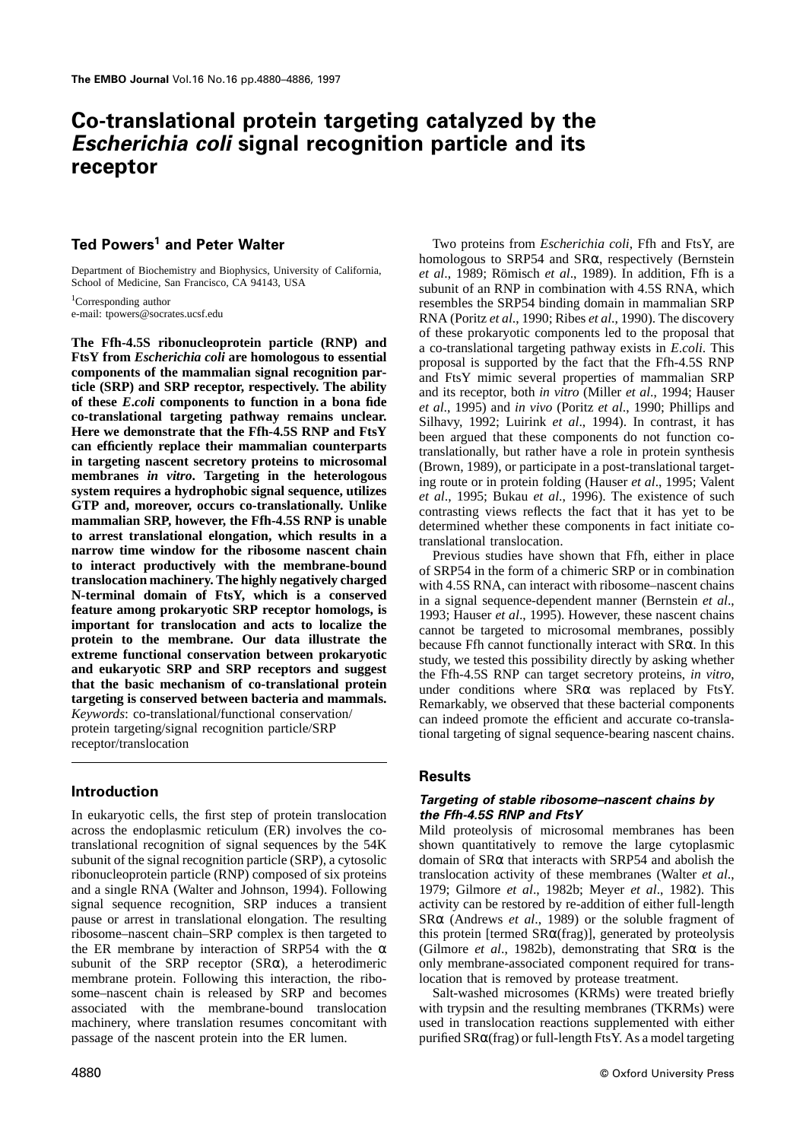## **Co-translational protein targeting catalyzed by the** *Escherichia coli* **signal recognition particle and its receptor**

The FIn-4.5S ribonude<br>oprotein partiete (RNP) and<br>
of these prokaryoic components led to the proposal that<br>
Fig.Y from Excellistical and a co-translational targeting pathway exists in *E.coli*. This<br> **Components of the ma** 

In eukaryotic cells, the first step of protein translocation *the Ffh-4.5S RNP and FtsY* across the endoplasmic reticulum (ER) involves the co- Mild proteolysis of microsomal membranes has been translational recognition of signal sequences by the 54K shown quantitatively to remove the large cytoplasmic subunit of the signal recognition particle (SRP), a cytosolic domain of SRα that interacts with SRP54 and abolish the ribonucleoprotein particle (RNP) composed of six proteins translocation activity of these membranes (Walter *et al*., and a single RNA (Walter and Johnson, 1994). Following 1979; Gilmore *et al.*, 1982b; Meyer *et al.*, 1982). This signal sequence recognition, SRP induces a transient activity can be restored by re-addition of either fullsignal sequence recognition, SRP induces a transient pause or arrest in translational elongation. The resulting  $S R\alpha$  (Andrews *et al.*, 1989) or the soluble fragment of ribosome–nascent chain–SRP complex is then targeted to this protein [termed  $S R\alpha$ (frag)], generated by the ER membrane by interaction of SRP54 with the α subunit of the SRP receptor  $(SR\alpha)$ , a heterodimeric only membrane-associated component required for transmembrane protein. Following this interaction, the ribo-<br>some-nascent chain is released by SRP and becomes<br>Salt-washed microsomes (KRMs) were treated briefly some–nascent chain is released by SRP and becomes associated with the membrane-bound translocation machinery, where translation resumes concomitant with used in translocation reactions supplemented with either passage of the nascent protein into the ER lumen. purified  $S R\alpha$ (frag) or full-length FtsY. As a model targeting

**Ted Powers** Two proteins from *Escherichia coli*, Ffh and FtsY, are **<sup>1</sup> and Peter Walter** homologous to SRP54 and SRα, respectively (Bernstein Department of Biochemistry and Biophysics, University of California,<br>School of Medicine, San Francisco, CA 94143, USA<br><sup>1</sup>Corresponding author<br><sup>1</sup>Corresponding author<br>e-mail: tpowers@socrates.ucsf.edu<br>e-mail: tpowers@socrat

## **Results**

# **Introduction** *Targeting of stable ribosome–nascent chains by*

this protein [termed SR $\alpha$ (frag)], generated by proteolysis (Gilmore *et al.*, 1982b), demonstrating that SR $\alpha$  is the

with trypsin and the resulting membranes (TKRMs) were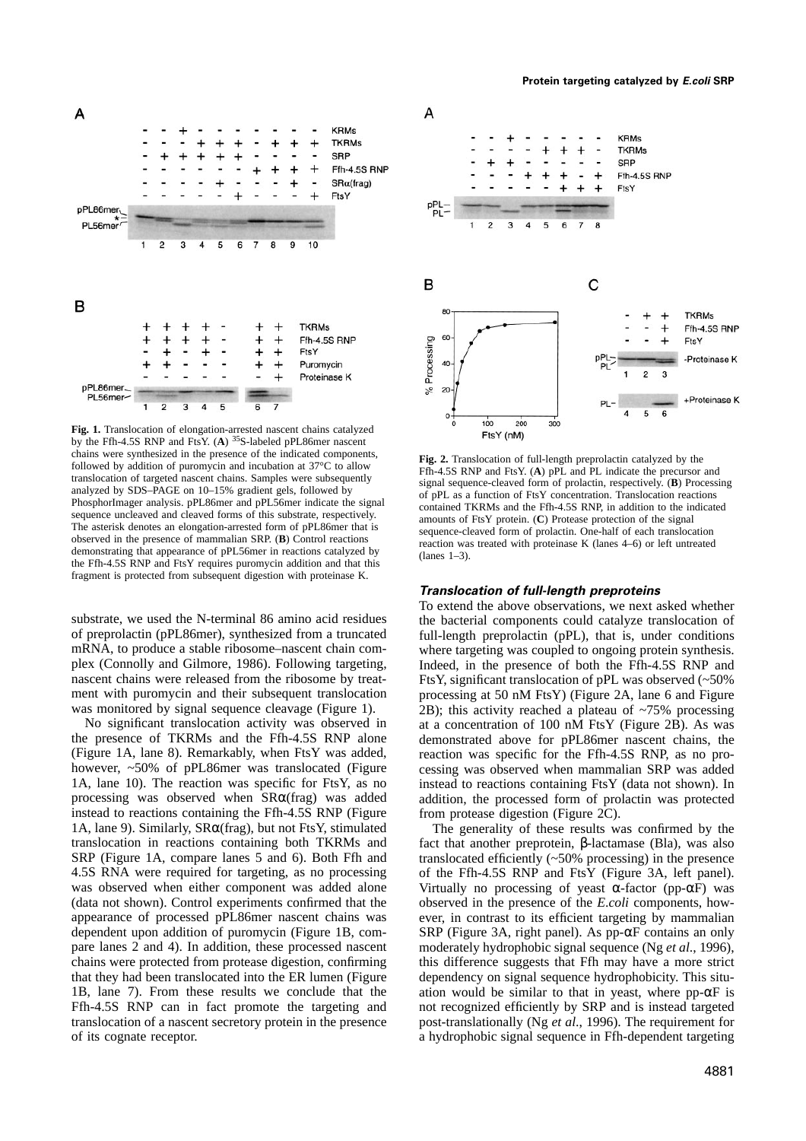

**Fig. 1.** Translocation of elongation-arrested nascent chains catalyzed by the Ffh-4.5S RNP and FtsY. (A) <sup>35</sup>S-labeled pPL86mer nascent chains were synthesized in the presence of the indicated components, chains were synthesized in the presence of the indicated components,<br>
followed by addition of puromycin and incubation at 37°C to allow<br>
trianslocation of full-length preprolactin catalyzed by the<br>
translocation of argete fragment is protected from subsequent digestion with proteinase K.

the presence of TKRMs and the Ffh-4.5S RNP alone demonstrated above for pPL86mer nascent chains, the (Figure 1A, lane 8). Remarkably, when FtsY was added, reaction was specific for the Ffh-4.5S RNP, as no prohowever, ~50% of pPL86mer was translocated (Figure cessing was observed when mammalian SRP was added 1A, lane 10). The reaction was specific for FtsY, as no instead to reactions containing FtsY (data not shown). In 1A, lane 10). The reaction was specific for FtsY, as no instead to reactions containing FtsY (data not shown). In processing was observed when  $SR\alpha(frag)$  was added addition, the processed form of prolactin was protected instead to reactions containing the Ffh-4.5S RNP (Figure from protease digestion (Figure 2C).<br>1A, lane 9). Similarly,  $SR\alpha$ (frag), but not FtsY, stimulated The generality of these results was translocation in reactions containing both TKRMs and fact that another preprotein, β-lactamase (Bla), was also SRP (Figure 1A, compare lanes 5 and 6). Both Ffh and translocated efficiently (~50% processing) in the presence 4.5S RNA were required for targeting, as no processing of the Ffh-4.5S RNP and FtsY (Figure 3A, left panel). was observed when either component was added alone Virtually no processing of yeast  $\alpha$ -factor (pp- $\alpha$ F) was (data not shown). Control experiments confirmed that the observed in the presence of the *E*.*coli* components, howappearance of processed pPL86mer nascent chains was ever, in contrast to its efficient targeting by mammalian dependent upon addition of puromycin (Figure 1B, com- SRP (Figure 3A, right panel). As pp-αF contains an only pare lanes 2 and 4). In addition, these processed nascent moderately hydrophobic signal sequence (Ng *et al*., 1996), chains were protected from protease digestion, confirming this difference suggests that Ffh may have a more strict that they had been translocated into the ER lumen (Figure dependency on signal sequence hydrophobicity. This situ-<br>1B, lane 7). From these results we conclude that the ation would be similar to that in veast, where pp- $\alpha$ Ffh-4.5S RNP can in fact promote the targeting and not recognized efficiently by SRP and is instead targeted translocation of a nascent secretory protein in the presence post-translationally (Ng *et al*., 1996). The requirement for of its cognate receptor. a hydrophobic signal sequence in Ffh-dependent targeting



## *Translocation of full-length preproteins*

To extend the above observations, we next asked whether substrate, we used the N-terminal 86 amino acid residues the bacterial components could catalyze translocation of of preprolactin (pPL86 mer), synthesized from a truncated full-length preprolactin (pPL), that is, under con of preprolactin (pPL86mer), synthesized from a truncated full-length preprolactin (pPL), that is, under conditions mRNA, to produce a stable ribosome–nascent chain com-<br>where targeting was coupled to ongoing protein synthe mRNA, to produce a stable ribosome–nascent chain com-<br>plex (Connolly and Gilmore, 1986). Following targeting, Indeed, in the presence of both the Ffh-4.5S RNP and plex (Connolly and Gilmore, 1986). Following targeting, Indeed, in the presence of both the Ffh-4.5S RNP and nascent chains were released from the ribosome by treat-<br>FtsY, significant translocation of pPL was observed (~50 nascent chains were released from the ribosome by treat-<br>ment with puromycin and their subsequent translocation processing at 50 nM FtsY) (Figure 2A, lane 6 and Figure ment with puromycin and their subsequent translocation processing at 50 nM FtsY) (Figure 2A, lane 6 and Figure was monitored by signal sequence cleavage (Figure 1). 2B): this activity reached a plateau of  $\sim$ 75% processi 2B); this activity reached a plateau of  $~15\%$  processing No significant translocation activity was observed in at a concentration of 100 nM FtsY (Figure 2B). As was the presence of TKRMs and the Ffh-4.5S RNP alone demonstrated above for pPL86 mer nascent chains, the reaction was specific for the Ffh-4.5S RNP, as no proaddition, the processed form of prolactin was protected

> The generality of these results was confirmed by the of the Ffh-4.5S RNP and FtsY (Figure 3A, left panel). ation would be similar to that in yeast, where pp- $\alpha$ F is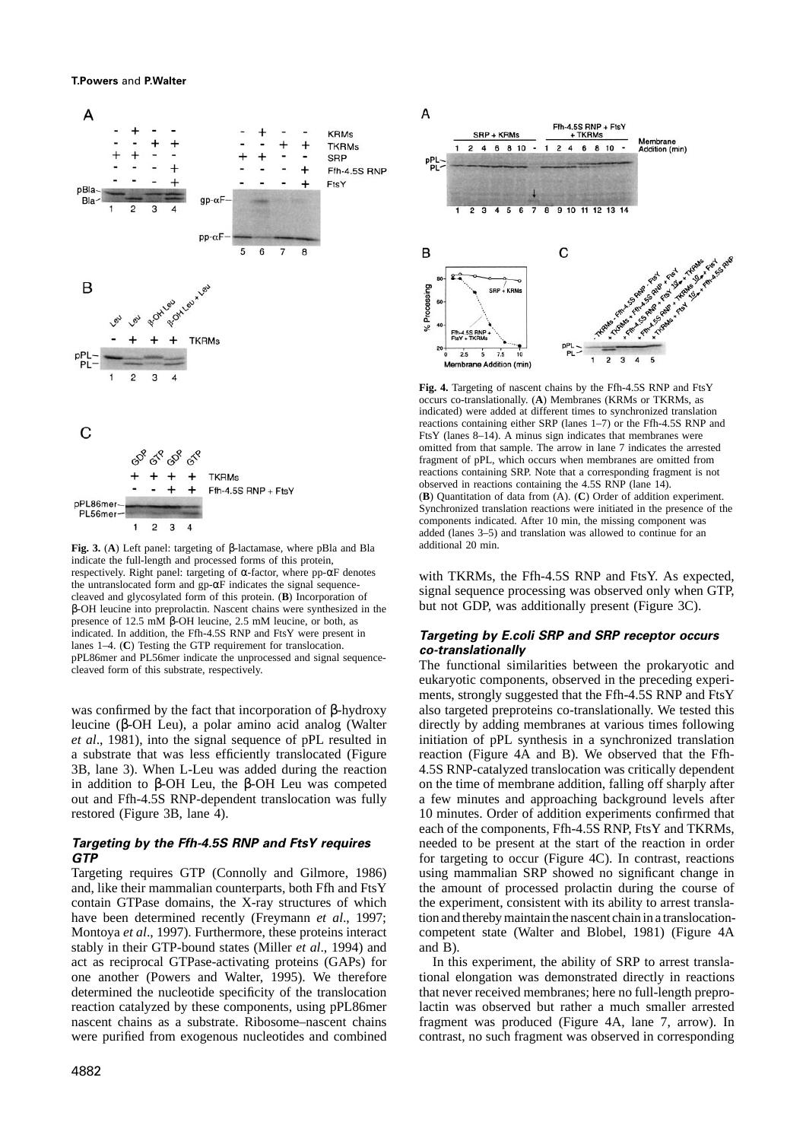

**Fig. 3.** (A) Left panel: targeting of β-lactamase, where pBla and Bla and idditional 20 min. indicate the full-length and processed forms of this protein, respectively. Right panel: targeting of  $\alpha$ -factor, where pp- $\alpha$ F denotes respectively. Right panel: targeting of α-factor, where pp-αF denotes<br>the untranslocated form and gp-αF indicates the signal sequence-<br>the untranslocated form of the protein. (B) Incorporation of<br>elayed and glycosylated f  $β$ -OH leucine into preprolactin. Nascent chains were synthesized in the presence of 12.5 mM β-OH leucine, 2.5 mM leucine, or both, as indicated. In addition, the Ffh-4.5S RNP and FtsY were present in <br>
lanes 1–4. (C) Testing the GTP requirement for translocation.<br>
pPL86mer and PL56mer indicate the unprocessed and signal sequence-<br>
cleaved form of this su

leucine (β-OH Leu), a polar amino acid analog (Walter directly by adding membranes at various times following *et al*., 1981), into the signal sequence of pPL resulted in initiation of pPL synthesis in a synchronized translation a substrate that was less efficiently translocated (Figure reaction (Figure 4A and B). We observed that the Ffh-3B, lane 3). When L-Leu was added during the reaction 4.5S RNP-catalyzed translocation was critically dependent in addition to β-OH Leu, the β-OH Leu was competed on the time of membrane addition, falling off sharply after out and Ffh-4.5S RNP-dependent translocation was fully a few minutes and approaching background levels after restored (Figure 3B, lane 4). 10 minutes. Order of addition experiments confirmed that

stably in their GTP-bound states (Miller *et al.*, 1994) and and B). act as reciprocal GTPase-activating proteins (GAPs) for In this experiment, the ability of SRP to arrest transla-



**Fig. 4.** Targeting of nascent chains by the Ffh-4.5S RNP and FtsY occurs co-translationally. (**A**) Membranes (KRMs or TKRMs, as indicated) were added at different times to synchronized translation reactions containing either SRP (lanes 1–7) or the Ffh-4.5S RNP and FtsY (lanes 8–14). A minus sign indicates that membranes were omitted from that sample. The arrow in lane 7 indicates the arrested fragment of pPL, which occurs when membranes are omitted from reactions containing SRP. Note that a corresponding fragment is not observed in reactions containing the 4.5S RNP (lane 14). (**B**) Quantitation of data from (A). (**C**) Order of addition experiment. Synchronized translation reactions were initiated in the presence of the components indicated. After 10 min, the missing component was added (lanes 3–5) and translation was allowed to continue for an

eukaryotic components, observed in the preceding experiments, strongly suggested that the Ffh-4.5S RNP and FtsY was confirmed by the fact that incorporation of β-hydroxy also targeted preproteins co-translationally. We tested this each of the components, Ffh-4.5S RNP, FtsY and TKRMs, **Targeting by the Ffh-4.5S RNP and FtsY requires** needed to be present at the start of the reaction in order **GTP** for targeting to occur (Figure 4C). In contrast, reactions Targeting requires GTP (Connolly and Gilmore, 1986) using mammalian SRP showed no significant change in using mammalian SRP showed no significant change in and, like their mammalian counterparts, both Ffh and FtsY the amount of processed prolactin during the course of contain GTPase domains, the X-ray structures of which the experiment, consistent with its ability to arrest translahave been determined recently (Freymann *et al*., 1997; tion and thereby maintain the nascent chain in a translocation-Montoya *et al.*, 1997). Furthermore, these proteins interact competent state (Walter and Blobel, 1981) (Figure 4A

one another (Powers and Walter, 1995). We therefore tional elongation was demonstrated directly in reactions determined the nucleotide specificity of the translocation that never received membranes; here no full-length preproreaction catalyzed by these components, using pPL86mer lactin was observed but rather a much smaller arrested nascent chains as a substrate. Ribosome–nascent chains fragment was produced (Figure 4A, lane 7, arrow). In were purified from exogenous nucleotides and combined contrast, no such fragment was observed in corresponding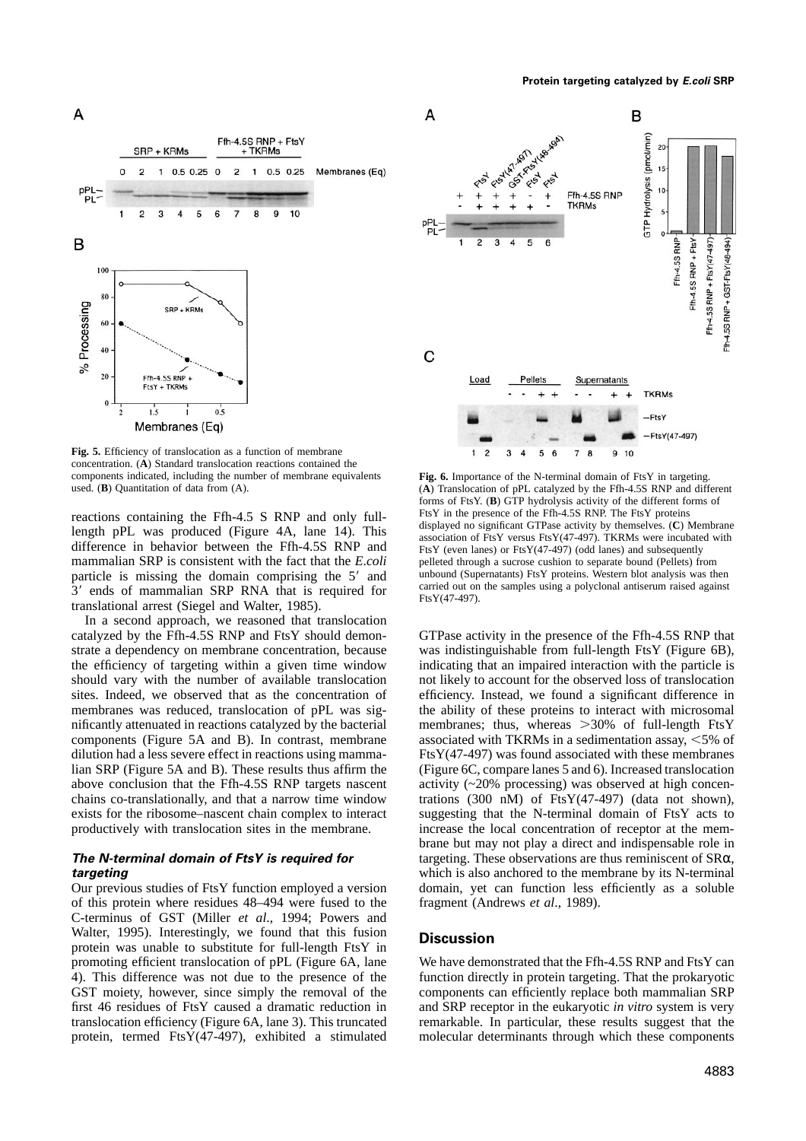

**Fig. 5.** Efficiency of translocation as a function of membrane concentration. (**A**) Standard translocation reactions contained the components indicated, including the number of membrane equivalents **Fig. 6.** Importance of the N-terminal domain of FtsY in targeting.<br> **Fig. 6.** Importance of the N-terminal domain of FtsY in targeting.<br> **Fig. 6.** Importa

mammalian SRP is consistent with the fact that the *E.coli* pelleted through a sucrose cushion to separate bound (Pellets) from particle is missing the domain comprising the 5' and unbound (Supernatants) FtsY proteins. Wes particle is missing the domain comprising the 5' and unbound (Supernatants) FtsY proteins. Western blot analysis was then 3' ends of mammalian SRP RNA that is required for carried out on the samples using a polyclonal anti  $3'$  ends of mammalian SRP RNA that is required for carried out on translational arrest (Siegel and Walter, 1985).

In a second approach, we reasoned that translocation catalyzed by the Ffh-4.5S RNP and FtsY should demon- GTPase activity in the presence of the Ffh-4.5S RNP that chains co-translationally, and that a narrow time window

of this protein where residues 48–494 were fused to the fragment (Andrews *et al*., 1989). C-terminus of GST (Miller *et al*., 1994; Powers and Walter, 1995). Interestingly, we found that this fusion **Discussion** protein was unable to substitute for full-length FtsY in promoting efficient translocation of pPL (Figure 6A, lane We have demonstrated that the Ffh-4.5S RNP and FtsY can 4). This difference was not due to the presence of the function directly in protein targeting. That the prokaryotic GST moiety, however, since simply the removal of the components can efficiently replace both mammalian SRP GST moiety, however, since simply the removal of the first 46 residues of FtsY caused a dramatic reduction in and SRP receptor in the eukaryotic *in vitro* system is very translocation efficiency (Figure 6A, lane 3). This truncated remarkable. In particular, these results suggest that the protein, termed FtsY(47-497), exhibited a stimulated molecular determinants through which these components



(A) Translocation of pPL catalyzed by the Ffh-4.5S RNP and different forms of FtsY. (**B**) GTP hydrolysis activity of the different forms of FtsY in the presence of the Ffh-4.5S RNP. The FtsY proteins reactions containing the Ffh-4.5 S RNP and only full-<br>length pPL was produced (Figure 4A, lane 14). This<br>displayed no significant GTPase activity by themselves. (C) Membrane<br>difference in behavior between the Ffh-4.5S RNP

strate a dependency on membrane concentration, because was indistinguishable from full-length FtsY (Figure 6B), the efficiency of targeting within a given time window indicating that an impaired interaction with the particle is should vary with the number of available translocation not likely to account for the observed loss of translocation sites. Indeed, we observed that as the concentration of efficiency. Instead, we found a significant difference in membranes was reduced, translocation of pPL was sig- the ability of these proteins to interact with microsomal nificantly attenuated in reactions catalyzed by the bacterial membranes; thus, whereas  $>30\%$  of full-length FtsY components (Figure 5A and B). In contrast, membrane associated with TKRMs in a sedimentation assay,  $< 5\%$  of dilution had a less severe effect in reactions using mamma- $FtsY(47-497)$  was found associated with these membranes lian SRP (Figure 5A and B). These results thus affirm the (Figure 6C, compare lanes 5 and 6). Increased translocation above conclusion that the Ffh-4.5S RNP targets nascent activity  $\langle 20\%$  processing) was observed at high concenchains co-translationally, and that a narrow time window trations (300 nM) of FtsY(47-497) (data not shown), exists for the ribosome–nascent chain complex to interact suggesting that the N-terminal domain of FtsY acts to productively with translocation sites in the membrane. increase the local concentration of receptor at the membrane but may not play a direct and indispensable role in *The N-terminal domain of FtsY is required for* **targeting. These observations are thus reminiscent of SRα,** *targeting* which is also anchored to the membrane by its N-terminal Our previous studies of FtsY function employed a version domain, yet can function less efficiently as a soluble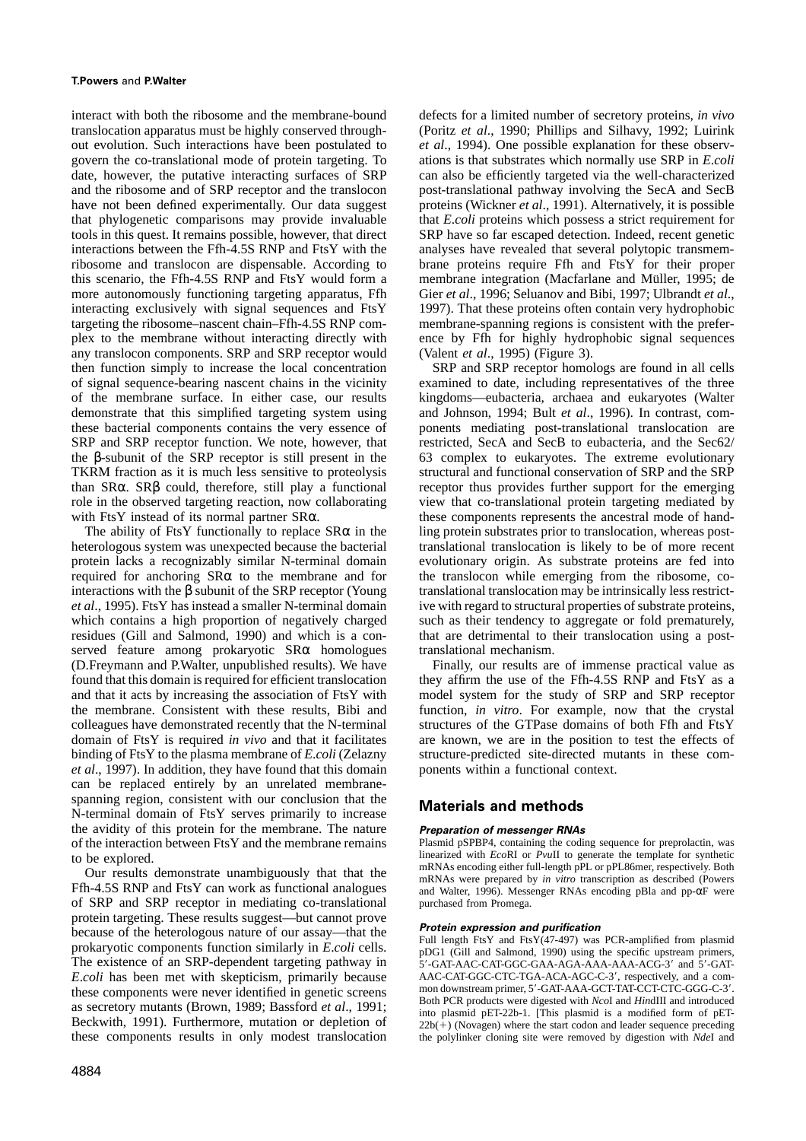interact with both the ribosome and the membrane-bound defects for a limited number of secretory proteins, *in vivo* translocation apparatus must be highly conserved through- (Poritz *et al*., 1990; Phillips and Silhavy, 1992; Luirink out evolution. Such interactions have been postulated to *et al*., 1994). One possible explanation for these observgovern the co-translational mode of protein targeting. To ations is that substrates which normally use SRP in *E*.*coli* date, however, the putative interacting surfaces of SRP can also be efficiently targeted via the well-characterized and the ribosome and of SRP receptor and the translocon post-translational pathway involving the SecA and SecB have not been defined experimentally. Our data suggest proteins (Wickner *et al*., 1991). Alternatively, it is possible that phylogenetic comparisons may provide invaluable that *E*.*coli* proteins which possess a strict requirement for tools in this quest. It remains possible, however, that direct SRP have so far escaped detection. Indeed, recent genetic interactions between the Ffh-4.5S RNP and FtsY with the analyses have revealed that several polytopic transmemribosome and translocon are dispensable. According to brane proteins require Ffh and FtsY for their proper this scenario, the Ffh-4.5S RNP and FtsY would form a membrane integration (Macfarlane and Müller, 1995; de more autonomously functioning targeting apparatus, Ffh Gier *et al*., 1996; Seluanov and Bibi, 1997; Ulbrandt *et al*., interacting exclusively with signal sequences and FtsY 1997). That these proteins often contain very hydrophobic targeting the ribosome–nascent chain–Ffh-4.5S RNP com- membrane-spanning regions is consistent with the preferplex to the membrane without interacting directly with ence by Ffh for highly hydrophobic signal sequences any translocon components. SRP and SRP receptor would (Valent *et al*., 1995) (Figure 3). then function simply to increase the local concentration SRP and SRP receptor homologs are found in all cells of signal sequence-bearing nascent chains in the vicinity examined to date, including representatives of the three of the membrane surface. In either case, our results kingdoms—eubacteria, archaea and eukaryotes (Walter demonstrate that this simplified targeting system using and Johnson, 1994; Bult *et al*., 1996). In contrast, comthese bacterial components contains the very essence of ponents mediating post-translational translocation are<br>SRP and SRP receptor function. We note, however, that restricted, SecA and SecB to eubacteria, and the Sec62/ SRP and SRP receptor function. We note, however, that the β-subunit of the SRP receptor is still present in the 63 complex to eukaryotes. The extreme evolutionary TKRM fraction as it is much less sensitive to proteolysis structural and functional conservation of SRP and the SRP than  $S R \alpha$ .  $S R \beta$  could, therefore, still play a functional receptor thus provides further support for than SRα. SRβ could, therefore, still play a functional role in the observed targeting reaction, now collaborating view that co-translational protein targeting mediated by with FtsY instead of its normal partner SRα. these components represents the ancestral mode of hand-

heterologous system was unexpected because the bacterial translational translocation is likely to be of more recent protein lacks a recognizably similar N-terminal domain evolutionary origin. As substrate proteins are fed protein lacks a recognizably similar N-terminal domain required for anchoring  $S R\alpha$  to the membrane and for the translocon while emerging from the ribosome, cointeractions with the β subunit of the SRP receptor (Young translational translocation may be intrinsically less restrict-<br>*et al.*, 1995). FtsY has instead a smaller N-terminal domain ive with regard to structural prope which contains a high proportion of negatively charged such as their tendency to aggregate or fold prematurely, residues (Gill and Salmond, 1990) and which is a con- that are detrimental to their translocation using a postserved feature among prokaryotic SRα homologues translational mechanism. (D.Freymann and P.Walter, unpublished results). We have Finally, our results are of immense practical value as found that this domain is required for efficient translocation they affirm the use of the Ffh-4.5S RNP and FtsY as a and that it acts by increasing the association of FtsY with model system for the study of SRP and SRP receptor the membrane. Consistent with these results, Bibi and function, *in vitro*. For example, now that the crystal colleagues have demonstrated recently that the N-terminal structures of the GTPase domains of both Ffh and FtsY domain of FtsY is required *in vivo* and that it facilitates are known, we are in the position to test the effects of binding of FtsY to the plasma membrane of *E*.*coli* (Zelazny structure-predicted site-directed mutants in these com*et al.*, 1997). In addition, they have found that this domain ponents within a functional context. can be replaced entirely by an unrelated membranespanning region, consistent with our conclusion that the **Materials and methods** N-terminal domain of FtsY serves primarily to increase the avidity of this protein for the membrane. The nature *Preparation of messenger RNAs*<br>of the interaction between FtsY and the membrane remains Plasmid pSPBP4, containing the coding sequence for preprolactin, was of the interaction between FtsY and the membrane remains Plasmid pSPBP4, containing the coding sequence for preprolactin, was<br>to be explored with EcoRI or PvuII to generate the template for synthetic

of SRP and SRP receptor in mediating co-translational purchased from Promega. protein targeting. These results suggest—but cannot prove<br>because of the heterologous nature of our assay—that the<br>protein expression and purification<br>purification<br>Full length FtsY and FtsY(47-497) was PCR-amplified from p The existence of an SRP-dependent targeting pathway in  $5'$ -GAT-AAC-CAT-GGC-GAA-AGA-AAA-AAA-ACG-3' and  $5'$ -GAT-<br>E.coli has been met with skepticism, primarily because AAC-CAT-GGC-CTC-TGA-ACA-AGC-C-3', respectively, and a *E*.*coli* has been met with skepticism, primarily because AAC-CAT-GGC-CTC-TGA-ACA-AGC-C-3', respectively, and a com-<br>
mon downstream primer, 5'-GAT-AAA-GCT-TAT-CCT-CTC-GGG-C-3'. as secretory mutants (Brown, 1989; Bassford *et al.*, 1991;<br>Beckwith, 1991). Furthermore, mutation or depletion of  $22b(+)$  (Novagen) where the start codon and leader sequence preceding

these components represents the ancestral mode of hand-The ability of FtsY functionally to replace  $S R \alpha$  in the ling protein substrates prior to translocation, whereas post*ive with regard to structural properties of substrate proteins,* 

to be explored.<br>
Our results demonstrate unambiguously that that the<br>
Th-4.5S RNP and FtsY can work as functional analogues<br>
Fin-4.5S RNP and FtsY can work as functional analogues<br>
Fin-4.5S RNP and FtsY can work as functi

these components results in only modest translocation the polylinker cloning site were removed by digestion with *Nde*I and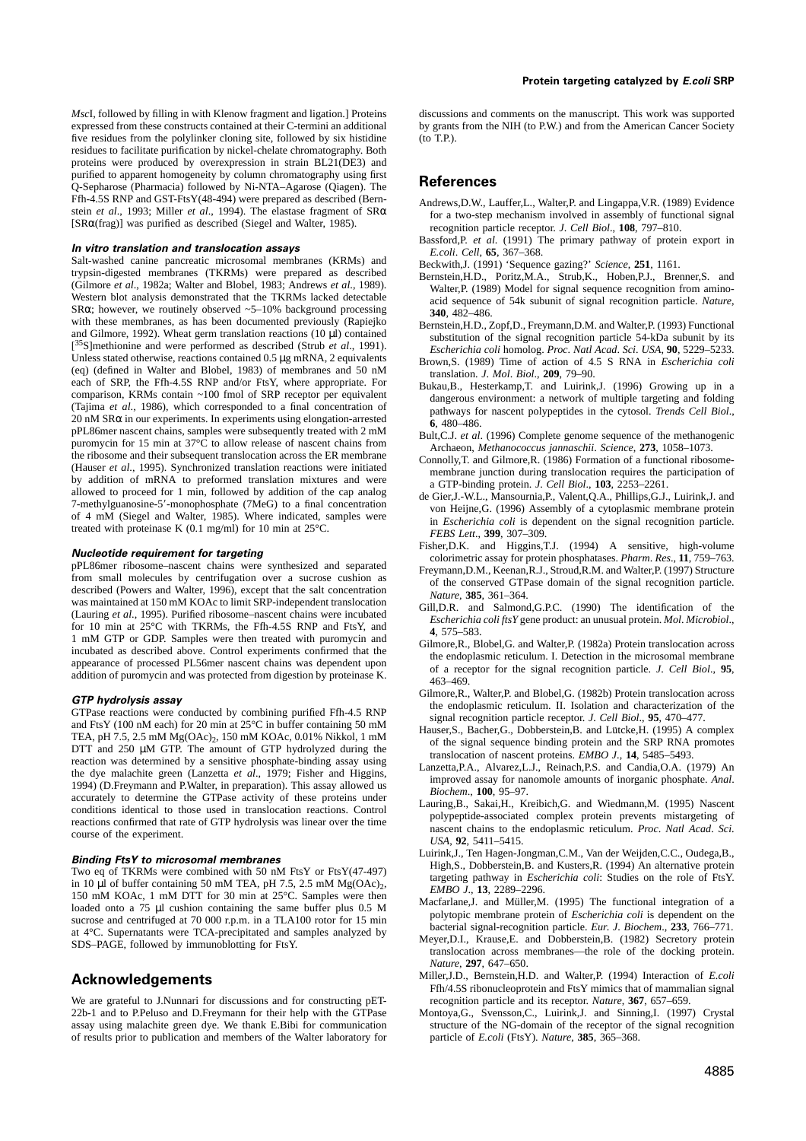*Msc*I, followed by filling in with Klenow fragment and ligation.] Proteins discussions and comments on the manuscript. This work was supported expressed from these constructs contained at their C-termini an additional by grants from the NIH (to P.W.) and from the American Cancer Society five residues from the polylinker cloning site, followed by six histidine (to T.P.). residues to facilitate purification by nickel-chelate chromatography. Both proteins were produced by overexpression in strain BL21(DE3) and purified to apparent homogeneity by column chromatography using first punned to apparent nonlogeneity by commin cinomatography using mst<br>Q-Sepharose (Pharmacia) followed by Ni-NTA–Agarose (Qiagen). The<br>Ffh-4.5S RNP and GST-FtsY(48-494) were prepared as described (Bern-

**In vitro translation and translocation assays**<br>
Salt-washed canine pancreatic microsomal membranes (KRMs) and<br>
Salt-washed canine pancreatic microsomal membranes (KRMs) and<br>
trypsin-digested membranes (TKRMs) were prepar and Gilmore, 1992). Wheat germ translation reactions (10  $\mu$ I) contained<br>
[<sup>35</sup>S]methionine and were performed as described (Strub *et al.*, 1991).<br>
Unless stated otherwise, reactions contained 0.5 µg mRNA, 2 equivalents (eq) (defined in Walter and Blobel, 1983) of membranes and 50 nM<br>
ecan of SRP receptor per equivalent<br>
comparison, KRMs contain -100 fmol of SRP receptor per equivalent<br>
comparison, KRMs contain -100 fmol of SRP receptor

**Nucleotide requirement for targeting**<br>
PPL86mer ribosome–nascent chains were synthesized and separated<br>
ppPL86mer ribosome–nascent chains were synthesized and separated<br>
freymann, D.M., Keenan, R.J., Stroud, R.M. and Wal

**GTP hydrolysis assay**<br>
GTP **hydrolysis assay**<br>
GTPase reactions were conducted by combining purified Ffh-4.5 RNP<br>
and Biobel,G. (1982b) Protein translocation across<br>
and FisY (100 M acch) for 20 min at 25°C in buffer con

**Binding FtsY to microsomal membranes**<br>
Two eq of TKRMs were combined with 50 nM FtsY or FtsY(47-497)<br>
in 10 µl of buffer containing 50 mM TEA, pH 7.5, 2.5 mM Mg(OAc)<sub>2</sub>,<br>
150 mM KOAc, 1 mM DTT for 30 min at 25°C. Samples

We are grateful to J.Nunnari for discussions and for constructing pET-22b-1 and to P.Peluso and D.Freymann for their help with the GTPase assay using malachite green dye. We thank E.Bibi for communication structure of the NG-domain of the receptor of the signal recognition and members of the Walter laboratory for particle of *E.coli* (FtsY). Nature, 385, 365 of results prior to publication and members of the Walter laboratory for

- Ffn-4.5S RNP and GS1-Fts Y(48-494) were prepared as described (Bern-<br>stein *et al.*, 1993; Miller *et al.*, 1994). The elastase fragment of SR $\alpha$  for a two-step mechanism involved in assembly of functional signal [SR $\alpha$ 
	-
	-
	-
	-
	-
	-
	-
	-
	-
	-
	-
	-
	-
	-
	-
	-
	-
	-
	-
	- *Nature*, **297**, 647–650.
- **Acknowledgements** Miller,J.D., Bernstein,H.D. and Walter,P. (1994) Interaction of *E.coli* Ffh/4.5S ribonucleoprotein and FtsY mimics that of mammalian signal recognition particle and its receptor. *Nature*, **367**, 657–659.
	- Montoya,G., Svensson,C., Luirink,J. and Sinning,I. (1997) Crystal structure of the NG-domain of the receptor of the signal recognition